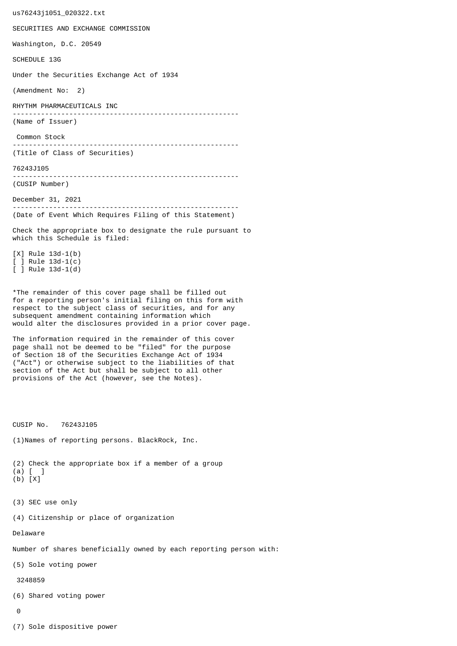us76243j1051\_020322.txt SECURITIES AND EXCHANGE COMMISSION Washington, D.C. 20549 SCHEDULE 13G Under the Securities Exchange Act of 1934 (Amendment No: 2) RHYTHM PHARMACEUTICALS INC -------------------------------------------------------- (Name of Issuer) Common Stock -------------------------------------------------------- (Title of Class of Securities) 76243J105 -------------------------------------------------------- (CUSIP Number) December 31, 2021 -------------------------------------------------------- (Date of Event Which Requires Filing of this Statement) Check the appropriate box to designate the rule pursuant to which this Schedule is filed: [X] Rule 13d-1(b) [ ] Rule 13d-1(c) [ ] Rule 13d-1(d) \*The remainder of this cover page shall be filled out for a reporting person's initial filing on this form with respect to the subject class of securities, and for any subsequent amendment containing information which would alter the disclosures provided in a prior cover page. The information required in the remainder of this cover page shall not be deemed to be "filed" for the purpose of Section 18 of the Securities Exchange Act of 1934 ("Act") or otherwise subject to the liabilities of that section of the Act but shall be subject to all other provisions of the Act (however, see the Notes). CUSIP No. 76243J105 (1)Names of reporting persons. BlackRock, Inc. (2) Check the appropriate box if a member of a group (a) [ ] (b) [X] (3) SEC use only (4) Citizenship or place of organization Delaware Number of shares beneficially owned by each reporting person with: (5) Sole voting power 3248859 (6) Shared voting power  $\Omega$ 

(7) Sole dispositive power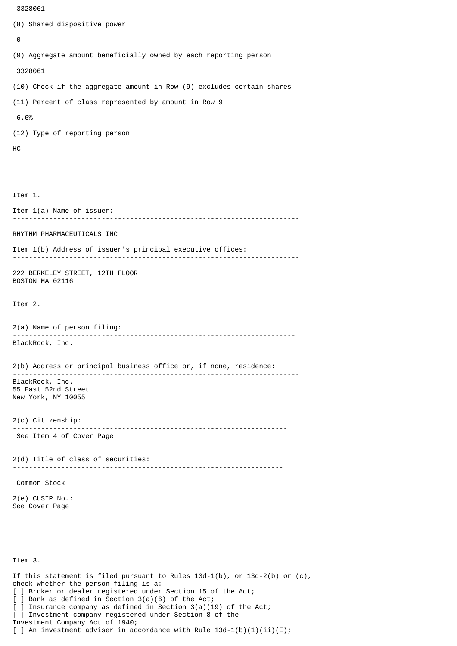```
 3328061
(8) Shared dispositive power
 \boldsymbol{\Theta}(9) Aggregate amount beneficially owned by each reporting person
  3328061
(10) Check if the aggregate amount in Row (9) excludes certain shares
(11) Percent of class represented by amount in Row 9
 6.6%
(12) Type of reporting person
HC
Item 1.
Item 1(a) Name of issuer:
                              -----------------------------------------------------------------------
RHYTHM PHARMACEUTICALS INC
Item 1(b) Address of issuer's principal executive offices:
-----------------------------------------------------------------------
222 BERKELEY STREET, 12TH FLOOR
BOSTON MA 02116
Item 2.
2(a) Name of person filing:
               ----------------------------------------------------------------------
BlackRock, Inc.
2(b) Address or principal business office or, if none, residence:
 -----------------------------------------------------------------------
BlackRock, Inc.
55 East 52nd Street
New York, NY 10055
2(c) Citizenship:
                             --------------------------------------------------------------------
 See Item 4 of Cover Page
2(d) Title of class of securities:
                                        -------------------------------------------------------------------
 Common Stock
2(e) CUSIP No.:
See Cover Page
Item 3.
If this statement is filed pursuant to Rules 13d-1(b), or 13d-2(b) or (c),
```
check whether the person filing is a:

[ ] Broker or dealer registered under Section 15 of the Act;

[ ] Bank as defined in Section 3(a)(6) of the Act;

] Insurance company as defined in Section  $3(a)(19)$  of the Act;

[ ] Investment company registered under Section 8 of the Investment Company Act of 1940;

[ ] An investment adviser in accordance with Rule  $13d-1(b)(1)(ii)(E)$ ;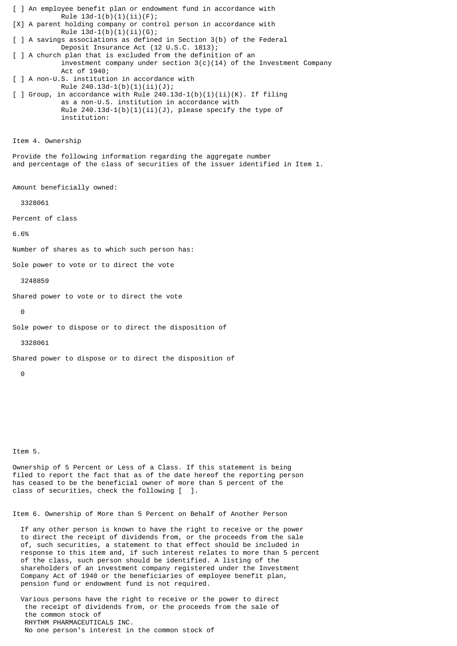[ ] An employee benefit plan or endowment fund in accordance with Rule  $13d-1(b)(1)(ii)(F);$ [X] A parent holding company or control person in accordance with Rule  $13d-1(b)(1)(ii)(G);$ [ ] A savings associations as defined in Section 3(b) of the Federal Deposit Insurance Act (12 U.S.C. 1813); [ ] A church plan that is excluded from the definition of an investment company under section  $3(c)(14)$  of the Investment Company Act of 1940; [ ] A non-U.S. institution in accordance with Rule  $240.13d-1(b)(1)(ii)(J);$  $\lceil$  ] Group, in accordance with Rule 240.13d-1(b)(1)(ii)(K). If filing as a non-U.S. institution in accordance with Rule  $240.13d-1(b)(1)(ii)(J)$ , please specify the type of institution: Item 4. Ownership Provide the following information regarding the aggregate number and percentage of the class of securities of the issuer identified in Item 1. Amount beneficially owned: 3328061 Percent of class 6.6% Number of shares as to which such person has: Sole power to vote or to direct the vote 3248859 Shared power to vote or to direct the vote  $\Theta$ Sole power to dispose or to direct the disposition of 3328061 Shared power to dispose or to direct the disposition of

 $\Omega$ 

Item 5.

Ownership of 5 Percent or Less of a Class. If this statement is being filed to report the fact that as of the date hereof the reporting person has ceased to be the beneficial owner of more than 5 percent of the class of securities, check the following [ ].

Item 6. Ownership of More than 5 Percent on Behalf of Another Person

 If any other person is known to have the right to receive or the power to direct the receipt of dividends from, or the proceeds from the sale of, such securities, a statement to that effect should be included in response to this item and, if such interest relates to more than 5 percent of the class, such person should be identified. A listing of the shareholders of an investment company registered under the Investment Company Act of 1940 or the beneficiaries of employee benefit plan, pension fund or endowment fund is not required.

 Various persons have the right to receive or the power to direct the receipt of dividends from, or the proceeds from the sale of the common stock of RHYTHM PHARMACEUTICALS INC. No one person's interest in the common stock of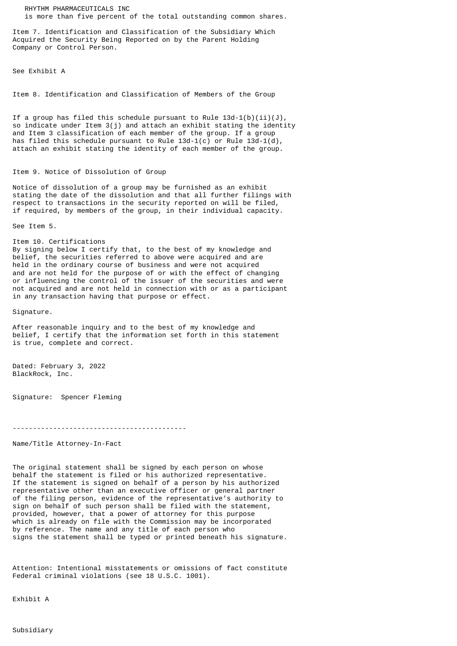RHYTHM PHARMACEUTICALS INC is more than five percent of the total outstanding common shares.

Item 7. Identification and Classification of the Subsidiary Which Acquired the Security Being Reported on by the Parent Holding Company or Control Person.

See Exhibit A

Item 8. Identification and Classification of Members of the Group

If a group has filed this schedule pursuant to Rule  $13d-1(b)(ii)(J)$ , so indicate under Item 3(j) and attach an exhibit stating the identity and Item 3 classification of each member of the group. If a group has filed this schedule pursuant to Rule  $13d-1(c)$  or Rule  $13d-1(d)$ , attach an exhibit stating the identity of each member of the group.

## Item 9. Notice of Dissolution of Group

Notice of dissolution of a group may be furnished as an exhibit stating the date of the dissolution and that all further filings with respect to transactions in the security reported on will be filed, if required, by members of the group, in their individual capacity.

See Item 5.

Item 10. Certifications By signing below I certify that, to the best of my knowledge and belief, the securities referred to above were acquired and are held in the ordinary course of business and were not acquired and are not held for the purpose of or with the effect of changing or influencing the control of the issuer of the securities and were not acquired and are not held in connection with or as a participant

in any transaction having that purpose or effect.

Signature.

After reasonable inquiry and to the best of my knowledge and belief, I certify that the information set forth in this statement is true, complete and correct.

Dated: February 3, 2022 BlackRock, Inc.

Signature: Spencer Fleming

-------------------------------------------

Name/Title Attorney-In-Fact

The original statement shall be signed by each person on whose behalf the statement is filed or his authorized representative. If the statement is signed on behalf of a person by his authorized representative other than an executive officer or general partner of the filing person, evidence of the representative's authority to sign on behalf of such person shall be filed with the statement, provided, however, that a power of attorney for this purpose which is already on file with the Commission may be incorporated by reference. The name and any title of each person who signs the statement shall be typed or printed beneath his signature.

Attention: Intentional misstatements or omissions of fact constitute Federal criminal violations (see 18 U.S.C. 1001).

Exhibit A